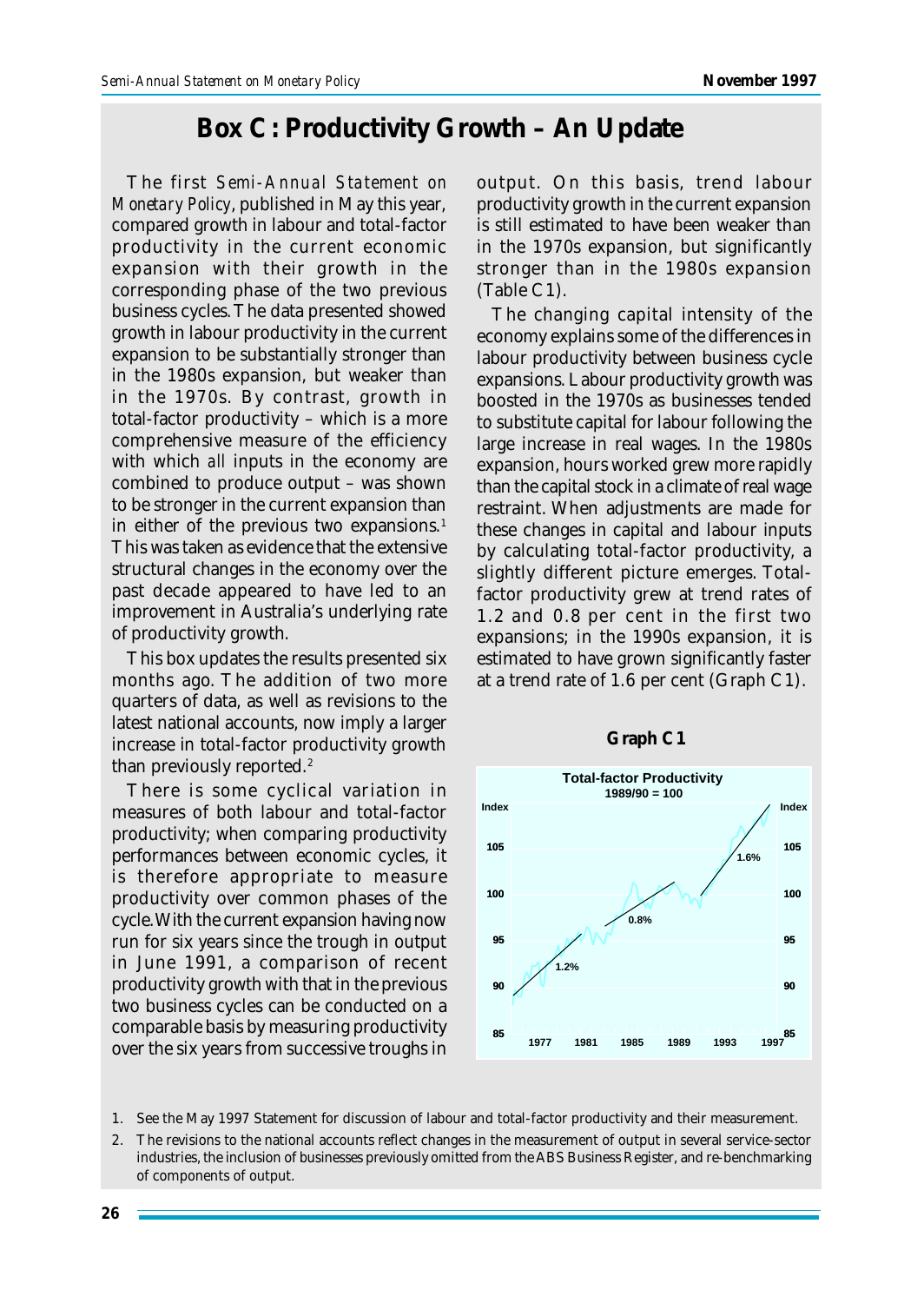## **Box C: Productivity Growth – An Update**

The first *Semi-Annual Statement on Monetary Policy*, published in May this year, compared growth in labour and total-factor productivity in the current economic expansion with their growth in the corresponding phase of the two previous business cycles. The data presented showed growth in labour productivity in the current expansion to be substantially stronger than in the 1980s expansion, but weaker than in the 1970s. By contrast, growth in total-factor productivity – which is a more comprehensive measure of the efficiency with which *all* inputs in the economy are combined to produce output – was shown to be stronger in the current expansion than in either of the previous two expansions.<sup>1</sup> This was taken as evidence that the extensive structural changes in the economy over the past decade appeared to have led to an improvement in Australia's underlying rate of productivity growth.

This box updates the results presented six months ago. The addition of two more quarters of data, as well as revisions to the latest national accounts, now imply a larger increase in total-factor productivity growth than previously reported.<sup>2</sup>

There is some cyclical variation in measures of both labour and total-factor productivity; when comparing productivity performances between economic cycles, it is therefore appropriate to measure productivity over common phases of the cycle. With the current expansion having now run for six years since the trough in output in June 1991, a comparison of recent productivity growth with that in the previous two business cycles can be conducted on a comparable basis by measuring productivity over the six years from successive troughs in output. On this basis, trend labour productivity growth in the current expansion is still estimated to have been weaker than in the 1970s expansion, but significantly stronger than in the 1980s expansion (Table C1).

The changing capital intensity of the economy explains some of the differences in labour productivity between business cycle expansions. Labour productivity growth was boosted in the 1970s as businesses tended to substitute capital for labour following the large increase in real wages. In the 1980s expansion, hours worked grew more rapidly than the capital stock in a climate of real wage restraint. When adjustments are made for these changes in capital and labour inputs by calculating total-factor productivity, a slightly different picture emerges. Totalfactor productivity grew at trend rates of 1.2 and 0.8 per cent in the first two expansions; in the 1990s expansion, it is estimated to have grown significantly faster at a trend rate of 1.6 per cent (Graph C1).



1. See the May 1997 Statement for discussion of labour and total-factor productivity and their measurement.

2. The revisions to the national accounts reflect changes in the measurement of output in several service-sector industries, the inclusion of businesses previously omitted from the ABS Business Register, and re-benchmarking of components of output.